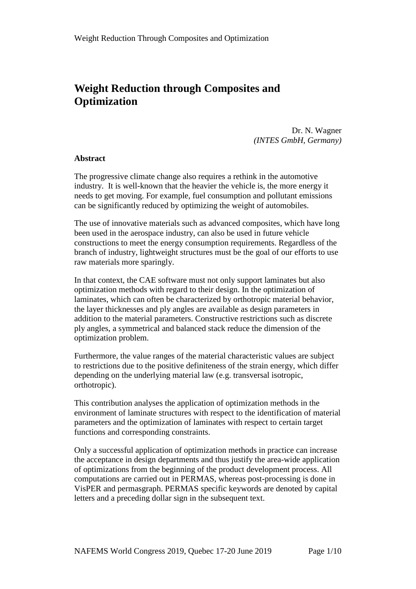# **Weight Reduction through Composites and Optimization**

Dr. N. Wagner *(INTES GmbH, Germany)*

### **Abstract**

The progressive climate change also requires a rethink in the automotive industry. It is well-known that the heavier the vehicle is, the more energy it needs to get moving. For example, fuel consumption and pollutant emissions can be significantly reduced by optimizing the weight of automobiles.

The use of innovative materials such as advanced composites, which have long been used in the aerospace industry, can also be used in future vehicle constructions to meet the energy consumption requirements. Regardless of the branch of industry, lightweight structures must be the goal of our efforts to use raw materials more sparingly.

In that context, the CAE software must not only support laminates but also optimization methods with regard to their design. In the optimization of laminates, which can often be characterized by orthotropic material behavior, the layer thicknesses and ply angles are available as design parameters in addition to the material parameters. Constructive restrictions such as discrete ply angles, a symmetrical and balanced stack reduce the dimension of the optimization problem.

Furthermore, the value ranges of the material characteristic values are subject to restrictions due to the positive definiteness of the strain energy, which differ depending on the underlying material law (e.g. transversal isotropic, orthotropic).

This contribution analyses the application of optimization methods in the environment of laminate structures with respect to the identification of material parameters and the optimization of laminates with respect to certain target functions and corresponding constraints.

Only a successful application of optimization methods in practice can increase the acceptance in design departments and thus justify the area-wide application of optimizations from the beginning of the product development process. All computations are carried out in PERMAS, whereas post-processing is done in VisPER and permasgraph. PERMAS specific keywords are denoted by capital letters and a preceding dollar sign in the subsequent text.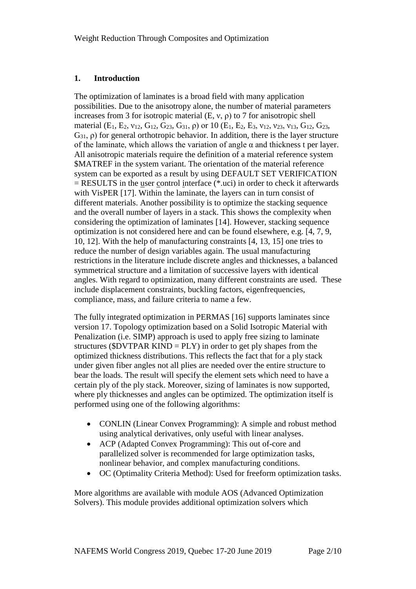## **1. Introduction**

The optimization of laminates is a broad field with many application possibilities. Due to the anisotropy alone, the number of material parameters increases from 3 for isotropic material  $(E, v, \rho)$  to 7 for anisotropic shell material (E<sub>1</sub>, E<sub>2</sub>,  $v_{12}$ , G<sub>12</sub>, G<sub>23</sub>, G<sub>31</sub>, ρ) or 10 (E<sub>1</sub>, E<sub>2</sub>, E<sub>3</sub>,  $v_{12}$ ,  $v_{23}$ ,  $v_{13}$ , G<sub>12</sub>, G<sub>23</sub>,  $G_{31}$ ,  $\rho$ ) for general orthotropic behavior. In addition, there is the layer structure of the laminate, which allows the variation of angle  $\alpha$  and thickness t per layer. All anisotropic materials require the definition of a material reference system \$MATREF in the system variant. The orientation of the material reference system can be exported as a result by using DEFAULT SET VERIFICATION  $=$  RESULTS in the user control interface (\*.uci) in order to check it afterwards with VisPER [17]. Within the laminate, the layers can in turn consist of different materials. Another possibility is to optimize the stacking sequence and the overall number of layers in a stack. This shows the complexity when considering the optimization of laminates [14]. However, stacking sequence optimization is not considered here and can be found elsewhere, e.g. [4, 7, 9, 10, 12]. With the help of manufacturing constraints [4, 13, 15] one tries to reduce the number of design variables again. The usual manufacturing restrictions in the literature include discrete angles and thicknesses, a balanced symmetrical structure and a limitation of successive layers with identical angles. With regard to optimization, many different constraints are used. These include displacement constraints, buckling factors, eigenfrequencies, compliance, mass, and failure criteria to name a few.

The fully integrated optimization in PERMAS [16] supports laminates since version 17. Topology optimization based on a Solid Isotropic Material with Penalization (i.e. SIMP) approach is used to apply free sizing to laminate structures ( $DVTPAR$  KIND =  $PLY$ ) in order to get ply shapes from the optimized thickness distributions. This reflects the fact that for a ply stack under given fiber angles not all plies are needed over the entire structure to bear the loads. The result will specify the element sets which need to have a certain ply of the ply stack. Moreover, sizing of laminates is now supported, where ply thicknesses and angles can be optimized. The optimization itself is performed using one of the following algorithms:

- CONLIN (Linear Convex Programming): A simple and robust method using analytical derivatives, only useful with linear analyses.
- ACP (Adapted Convex Programming): This out of-core and parallelized solver is recommended for large optimization tasks, nonlinear behavior, and complex manufacturing conditions.
- OC (Optimality Criteria Method): Used for freeform optimization tasks.

More algorithms are available with module AOS (Advanced Optimization Solvers). This module provides additional optimization solvers which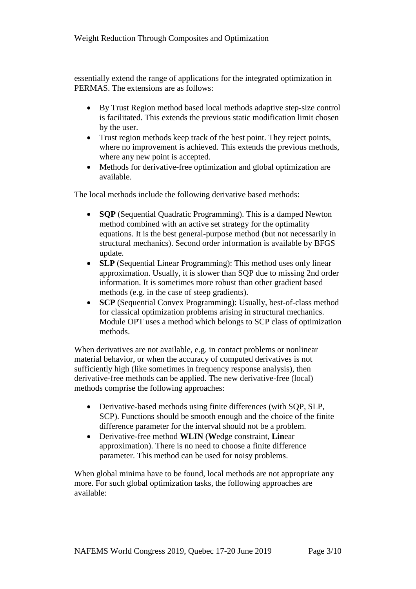essentially extend the range of applications for the integrated optimization in PERMAS. The extensions are as follows:

- By Trust Region method based local methods adaptive step-size control is facilitated. This extends the previous static modification limit chosen by the user.
- Trust region methods keep track of the best point. They reject points, where no improvement is achieved. This extends the previous methods, where any new point is accepted.
- Methods for derivative-free optimization and global optimization are available.

The local methods include the following derivative based methods:

- **SQP** (Sequential Quadratic Programming). This is a damped Newton method combined with an active set strategy for the optimality equations. It is the best general-purpose method (but not necessarily in structural mechanics). Second order information is available by BFGS update.
- **SLP** (Sequential Linear Programming): This method uses only linear approximation. Usually, it is slower than SQP due to missing 2nd order information. It is sometimes more robust than other gradient based methods (e.g. in the case of steep gradients).
- **SCP** (Sequential Convex Programming): Usually, best-of-class method for classical optimization problems arising in structural mechanics. Module OPT uses a method which belongs to SCP class of optimization methods.

When derivatives are not available, e.g. in contact problems or nonlinear material behavior, or when the accuracy of computed derivatives is not sufficiently high (like sometimes in frequency response analysis), then derivative-free methods can be applied. The new derivative-free (local) methods comprise the following approaches:

- Derivative-based methods using finite differences (with SQP, SLP, SCP). Functions should be smooth enough and the choice of the finite difference parameter for the interval should not be a problem.
- Derivative-free method **WLIN** (**W**edge constraint, **Lin**ear approximation). There is no need to choose a finite difference parameter. This method can be used for noisy problems.

When global minima have to be found, local methods are not appropriate any more. For such global optimization tasks, the following approaches are available: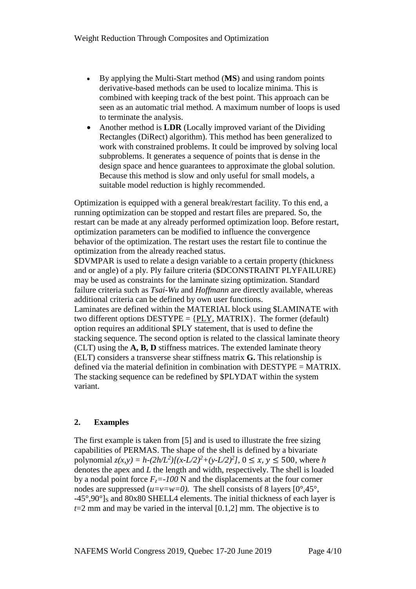- By applying the Multi-Start method (**MS**) and using random points derivative-based methods can be used to localize minima. This is combined with keeping track of the best point. This approach can be seen as an automatic trial method. A maximum number of loops is used to terminate the analysis.
- Another method is **LDR** (Locally improved variant of the Dividing Rectangles (DiRect) algorithm). This method has been generalized to work with constrained problems. It could be improved by solving local subproblems. It generates a sequence of points that is dense in the design space and hence guarantees to approximate the global solution. Because this method is slow and only useful for small models, a suitable model reduction is highly recommended.

Optimization is equipped with a general break/restart facility. To this end, a running optimization can be stopped and restart files are prepared. So, the restart can be made at any already performed optimization loop. Before restart, optimization parameters can be modified to influence the convergence behavior of the optimization. The restart uses the restart file to continue the optimization from the already reached status.

\$DVMPAR is used to relate a design variable to a certain property (thickness and or angle) of a ply. Ply failure criteria (\$DCONSTRAINT PLYFAILURE) may be used as constraints for the laminate sizing optimization. Standard failure criteria such as *Tsai-Wu* and *Hoffmann* are directly available, whereas additional criteria can be defined by own user functions.

Laminates are defined within the MATERIAL block using \$LAMINATE with two different options  $DESTYPE = {PLY, MATRIX}$ . The former (default) option requires an additional \$PLY statement, that is used to define the stacking sequence. The second option is related to the classical laminate theory (CLT) using the **A, B, D** stiffness matrices. The extended laminate theory (ELT) considers a transverse shear stiffness matrix **G.** This relationship is defined via the material definition in combination with DESTYPE = MATRIX. The stacking sequence can be redefined by \$PLYDAT within the system variant.

### **2. Examples**

The first example is taken from [5] and is used to illustrate the free sizing capabilities of PERMAS. The shape of the shell is defined by a bivariate polynomial  $z(x, y) = h - (2h/L^2)[(x-L/2)^2 + (y-L/2)^2]$ ,  $0 \le x, y \le 500$ , where *h* denotes the apex and *L* the length and width, respectively. The shell is loaded by a nodal point force  $F_z = -100$  N and the displacements at the four corner nodes are suppressed  $(u=v=w=0)$ . The shell consists of 8 layers  $[0^{\circ},45^{\circ}]$ , -45°,90°]S and 80x80 SHELL4 elements. The initial thickness of each layer is  $t=2$  mm and may be varied in the interval [0.1,2] mm. The objective is to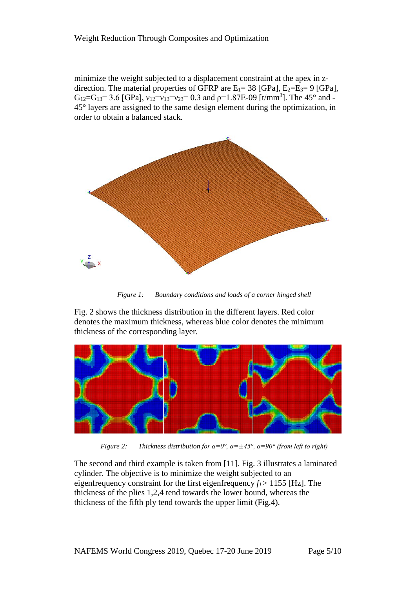minimize the weight subjected to a displacement constraint at the apex in zdirection. The material properties of GFRP are  $E_1 = 38$  [GPa],  $E_2=E_3=9$  [GPa],  $G_{12}=G_{13}=3.6$  [GPa],  $v_{12}=v_{13}=v_{23}=0.3$  and  $\rho=1.87E-0.9$  [t/mm<sup>3</sup>]. The 45<sup>°</sup> and -45° layers are assigned to the same design element during the optimization, in order to obtain a balanced stack.



*Figure 1: Boundary conditions and loads of a corner hinged shell*

Fig. 2 shows the thickness distribution in the different layers. Red color denotes the maximum thickness, whereas blue color denotes the minimum thickness of the corresponding layer.



*Figure 2: Thickness distribution for α=0°, α=*±*45°, α=90° (from left to right)*

The second and third example is taken from [11]. Fig. 3 illustrates a laminated cylinder. The objective is to minimize the weight subjected to an eigenfrequency constraint for the first eigenfrequency *f1>* 1155 [Hz]. The thickness of the plies 1,2,4 tend towards the lower bound, whereas the thickness of the fifth ply tend towards the upper limit (Fig.4).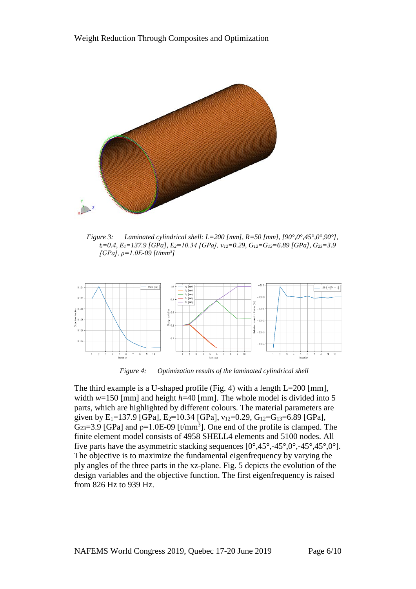

*Figure 3: Laminated cylindrical shell: L=200 [mm], R=50 [mm], [90°,0°,45°,0°,90°], ti=0.4, E1=137.9 [GPa], E2=10.34 [GPa], ν12=0.29, G12=G13=6.89 [GPa], G23=3.9 [GPa], ρ=1.0E-09 [t/mm3 ]*



*Figure 4: Optimization results of the laminated cylindrical shell*

The third example is a U-shaped profile (Fig. 4) with a length L=200 [mm], width *w*=150 [mm] and height *h*=40 [mm]. The whole model is divided into 5 parts, which are highlighted by different colours. The material parameters are given by  $E_1=137.9$  [GPa],  $E_2=10.34$  [GPa],  $v_{12}=0.29$ ,  $G_{12}=G_{13}=6.89$  [GPa],  $G_{23}=3.9$  [GPa] and  $p=1.0E-09$  [t/mm<sup>3</sup>]. One end of the profile is clamped. The finite element model consists of 4958 SHELL4 elements and 5100 nodes. All five parts have the asymmetric stacking sequences  $[0^{\circ},45^{\circ},-45^{\circ},0^{\circ},-45^{\circ},45^{\circ},0^{\circ}]$ . The objective is to maximize the fundamental eigenfrequency by varying the ply angles of the three parts in the xz-plane. Fig. 5 depicts the evolution of the design variables and the objective function. The first eigenfrequency is raised from 826 Hz to 939 Hz.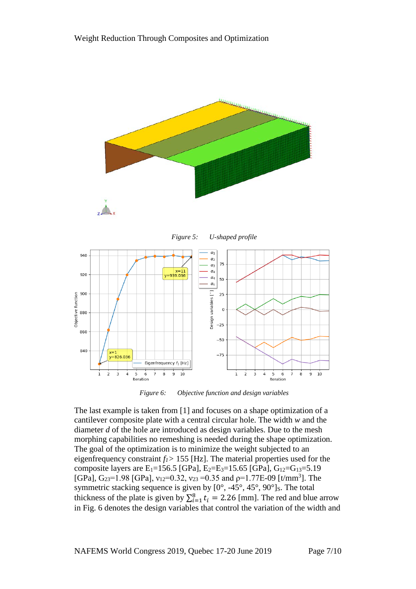





*Figure 6: Objective function and design variables*

The last example is taken from [1] and focuses on a shape optimization of a cantilever composite plate with a central circular hole. The width *w* and the diameter *d* of the hole are introduced as design variables. Due to the mesh morphing capabilities no remeshing is needed during the shape optimization. The goal of the optimization is to minimize the weight subjected to an eigenfrequency constraint *f1>* 155 [Hz]. The material properties used for the composite layers are E<sub>1</sub>=156.5 [GPa], E<sub>2</sub>=E<sub>3</sub>=15.65 [GPa], G<sub>12</sub>=G<sub>13</sub>=5.19 [GPa], G<sub>23</sub>=1.98 [GPa],  $v_{12}$ =0.32,  $v_{23}$  =0.35 and  $p$ =1.77E-09 [t/mm<sup>3</sup>]. The symmetric stacking sequence is given by  $[0^\circ, -45^\circ, 45^\circ, 90^\circ]$ s. The total thickness of the plate is given by  $\sum_{i=1}^{8} t_i = 2.26$  [mm]. The red and blue arrow in Fig. 6 denotes the design variables that control the variation of the width and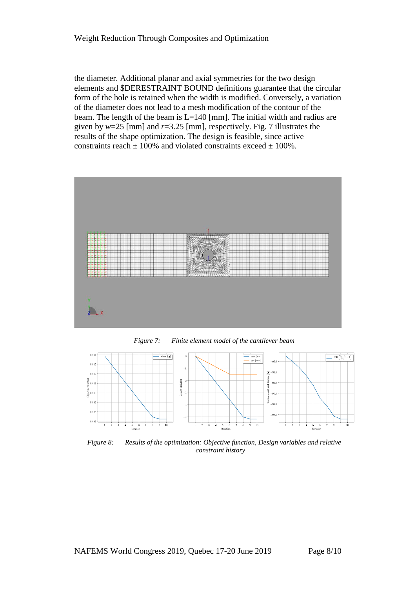#### Weight Reduction Through Composites and Optimization

the diameter. Additional planar and axial symmetries for the two design elements and \$DERESTRAINT BOUND definitions guarantee that the circular form of the hole is retained when the width is modified. Conversely, a variation of the diameter does not lead to a mesh modification of the contour of the beam. The length of the beam is L=140 [mm]. The initial width and radius are given by *w*=25 [mm] and *r*=3.25 [mm], respectively. Fig. 7 illustrates the results of the shape optimization. The design is feasible, since active constraints reach  $\pm$  100% and violated constraints exceed  $\pm$  100%.







*Figure 8: Results of the optimization: Objective function, Design variables and relative constraint history*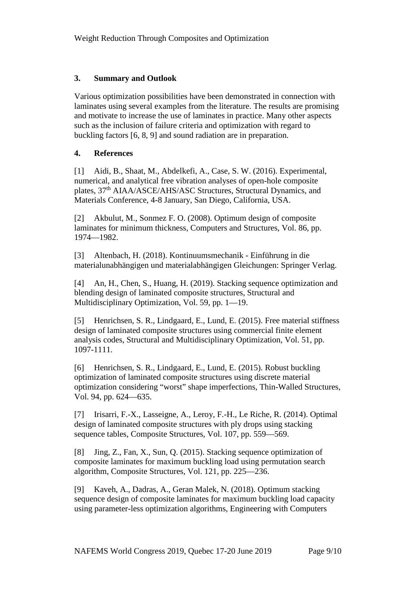## **3. Summary and Outlook**

Various optimization possibilities have been demonstrated in connection with laminates using several examples from the literature. The results are promising and motivate to increase the use of laminates in practice. Many other aspects such as the inclusion of failure criteria and optimization with regard to buckling factors [6, 8, 9] and sound radiation are in preparation.

## **4. References**

[1] Aidi, B., Shaat, M., Abdelkefi, A., Case, S. W. (2016). Experimental, numerical, and analytical free vibration analyses of open-hole composite plates, 37th AIAA/ASCE/AHS/ASC Structures, Structural Dynamics, and Materials Conference, 4-8 January, San Diego, California, USA.

[2] Akbulut, M., Sonmez F. O. (2008). Optimum design of composite laminates for minimum thickness, Computers and Structures, Vol. 86, pp. 1974—1982.

[3] Altenbach, H. (2018). Kontinuumsmechanik - Einführung in die materialunabhängigen und materialabhängigen Gleichungen: Springer Verlag.

[4] An, H., Chen, S., Huang, H. (2019). Stacking sequence optimization and blending design of laminated composite structures, Structural and Multidisciplinary Optimization, Vol. 59, pp. 1—19.

[5] Henrichsen, S. R., Lindgaard, E., Lund, E. (2015). Free material stiffness design of laminated composite structures using commercial finite element analysis codes, Structural and Multidisciplinary Optimization, Vol. 51, pp. 1097-1111.

[6] Henrichsen, S. R., Lindgaard, E., Lund, E. (2015). Robust buckling optimization of laminated composite structures using discrete material optimization considering "worst" shape imperfections, Thin-Walled Structures, Vol. 94, pp. 624—635.

[7] Irisarri, F.-X., Lasseigne, A., Leroy, F.-H., Le Riche, R. (2014). Optimal design of laminated composite structures with ply drops using stacking sequence tables, Composite Structures, Vol. 107, pp. 559—569.

[8] Jing, Z., Fan, X., Sun, Q. (2015). Stacking sequence optimization of composite laminates for maximum buckling load using permutation search algorithm, Composite Structures, Vol. 121, pp. 225—236.

[9] Kaveh, A., Dadras, A., Geran Malek, N. (2018). Optimum stacking sequence design of composite laminates for maximum buckling load capacity using parameter-less optimization algorithms, Engineering with Computers